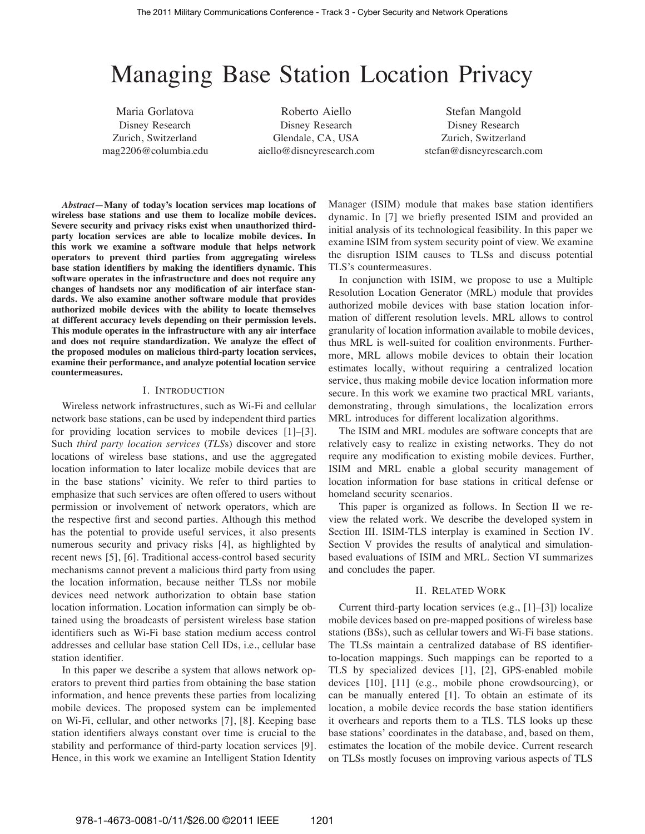# Managing Base Station Location Privacy

Maria Gorlatova Disney Research Zurich, Switzerland mag2206@columbia.edu

Roberto Aiello Disney Research Glendale, CA, USA aiello@disneyresearch.com

Stefan Mangold Disney Research Zurich, Switzerland stefan@disneyresearch.com

*Abstract***—Many of today's location services map locations of wireless base stations and use them to localize mobile devices. Severe security and privacy risks exist when unauthorized thirdparty location services are able to localize mobile devices. In this work we examine a software module that helps network operators to prevent third parties from aggregating wireless base station identifiers by making the identifiers dynamic. This software operates in the infrastructure and does not require any changes of handsets nor any modification of air interface standards. We also examine another software module that provides authorized mobile devices with the ability to locate themselves at different accuracy levels depending on their permission levels. This module operates in the infrastructure with any air interface and does not require standardization. We analyze the effect of the proposed modules on malicious third-party location services, examine their performance, and analyze potential location service countermeasures.**

#### I. INTRODUCTION

Wireless network infrastructures, such as Wi-Fi and cellular network base stations, can be used by independent third parties for providing location services to mobile devices [1]–[3]. Such *third party location services* (*TLS*s) discover and store locations of wireless base stations, and use the aggregated location information to later localize mobile devices that are in the base stations' vicinity. We refer to third parties to emphasize that such services are often offered to users without permission or involvement of network operators, which are the respective first and second parties. Although this method has the potential to provide useful services, it also presents numerous security and privacy risks [4], as highlighted by recent news [5], [6]. Traditional access-control based security mechanisms cannot prevent a malicious third party from using the location information, because neither TLSs nor mobile devices need network authorization to obtain base station location information. Location information can simply be obtained using the broadcasts of persistent wireless base station identifiers such as Wi-Fi base station medium access control addresses and cellular base station Cell IDs, i.e., cellular base station identifier.

In this paper we describe a system that allows network operators to prevent third parties from obtaining the base station information, and hence prevents these parties from localizing mobile devices. The proposed system can be implemented on Wi-Fi, cellular, and other networks [7], [8]. Keeping base station identifiers always constant over time is crucial to the stability and performance of third-party location services [9]. Hence, in this work we examine an Intelligent Station Identity Manager (ISIM) module that makes base station identifiers dynamic. In [7] we briefly presented ISIM and provided an initial analysis of its technological feasibility. In this paper we examine ISIM from system security point of view. We examine the disruption ISIM causes to TLSs and discuss potential TLS's countermeasures.

In conjunction with ISIM, we propose to use a Multiple Resolution Location Generator (MRL) module that provides authorized mobile devices with base station location information of different resolution levels. MRL allows to control granularity of location information available to mobile devices, thus MRL is well-suited for coalition environments. Furthermore, MRL allows mobile devices to obtain their location estimates locally, without requiring a centralized location service, thus making mobile device location information more secure. In this work we examine two practical MRL variants, demonstrating, through simulations, the localization errors MRL introduces for different localization algorithms.

The ISIM and MRL modules are software concepts that are relatively easy to realize in existing networks. They do not require any modification to existing mobile devices. Further, ISIM and MRL enable a global security management of location information for base stations in critical defense or homeland security scenarios.

This paper is organized as follows. In Section II we review the related work. We describe the developed system in Section III. ISIM-TLS interplay is examined in Section IV. Section V provides the results of analytical and simulationbased evaluations of ISIM and MRL. Section VI summarizes and concludes the paper.

# II. RELATED WORK

Current third-party location services (e.g., [1]–[3]) localize mobile devices based on pre-mapped positions of wireless base stations (BSs), such as cellular towers and Wi-Fi base stations. The TLSs maintain a centralized database of BS identifierto-location mappings. Such mappings can be reported to a TLS by specialized devices [1], [2], GPS-enabled mobile devices [10], [11] (e.g., mobile phone crowdsourcing), or can be manually entered [1]. To obtain an estimate of its location, a mobile device records the base station identifiers it overhears and reports them to a TLS. TLS looks up these base stations' coordinates in the database, and, based on them, estimates the location of the mobile device. Current research on TLSs mostly focuses on improving various aspects of TLS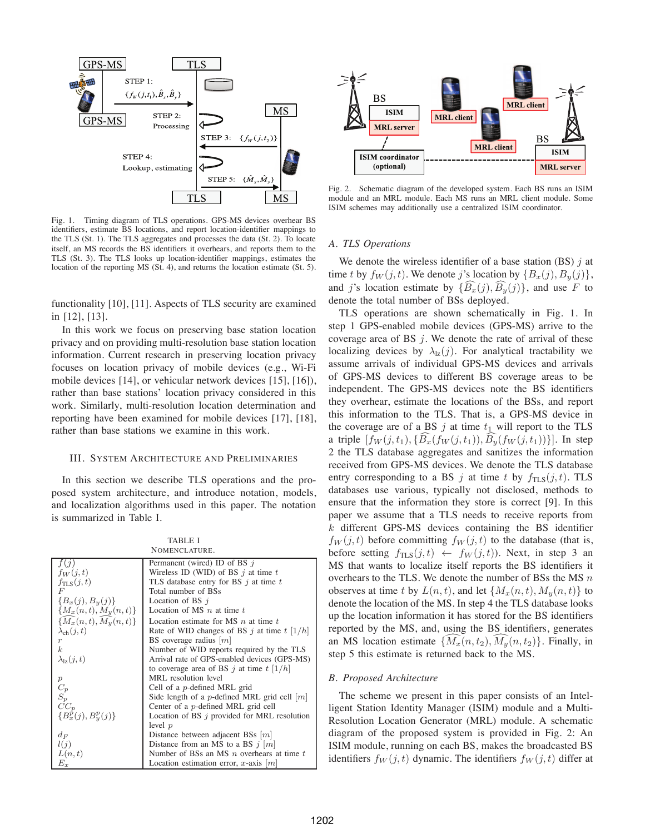

Fig. 1. Timing diagram of TLS operations. GPS-MS devices overhear BS identifiers, estimate BS locations, and report location-identifier mappings to the TLS (St. 1). The TLS aggregates and processes the data (St. 2). To locate itself, an MS records the BS identifiers it overhears, and reports them to the TLS (St. 3). The TLS looks up location-identifier mappings, estimates the location of the reporting MS (St. 4), and returns the location estimate (St. 5).

functionality [10], [11]. Aspects of TLS security are examined in [12], [13].

In this work we focus on preserving base station location privacy and on providing multi-resolution base station location information. Current research in preserving location privacy focuses on location privacy of mobile devices (e.g., Wi-Fi mobile devices [14], or vehicular network devices [15], [16]), rather than base stations' location privacy considered in this work. Similarly, multi-resolution location determination and reporting have been examined for mobile devices [17], [18], rather than base stations we examine in this work.

## III. SYSTEM ARCHITECTURE AND PRELIMINARIES

In this section we describe TLS operations and the proposed system architecture, and introduce notation, models, and localization algorithms used in this paper. The notation is summarized in Table I.

TABLE I NOMENCLATURE.

| f(j)                                                  | Permanent (wired) ID of BS $j$                 |  |  |  |
|-------------------------------------------------------|------------------------------------------------|--|--|--|
| $f_W(j,t)$                                            | Wireless ID (WID) of BS $j$ at time $t$        |  |  |  |
| $f_{\text{TLS}}(j,t)$                                 | TLS database entry for BS $j$ at time $t$      |  |  |  |
| F                                                     | Total number of BSs                            |  |  |  |
| ${B_x(j), B_y(j)}$                                    | Location of BS $j$                             |  |  |  |
| ${M_x(n,t), M_y(n,t)}$                                | Location of MS $n$ at time $t$                 |  |  |  |
| $\{M_x(n,t), M_y(n,t)\}\$                             | Location estimate for MS $n$ at time $t$       |  |  |  |
| $\lambda_{ch}(j,t)$                                   | Rate of WID changes of BS j at time $t  1/h $  |  |  |  |
| $\boldsymbol{r}$                                      | BS coverage radius $ m $                       |  |  |  |
| $\boldsymbol{k}$                                      | Number of WID reports required by the TLS      |  |  |  |
| $\lambda_{1z}(j,t)$                                   | Arrival rate of GPS-enabled devices (GPS-MS)   |  |  |  |
|                                                       | to coverage area of BS j at time $t  1/h $     |  |  |  |
|                                                       | MRL resolution level                           |  |  |  |
|                                                       | Cell of a $p$ -defined MRL grid                |  |  |  |
| $\begin{array}{c} p\\ C_p\\ S_p\\ CC_p\\ \end{array}$ | Side length of a p-defined MRL grid cell $[m]$ |  |  |  |
|                                                       | Center of a $p$ -defined MRL grid cell         |  |  |  |
| ${B_x^{\bar{p}}(j), B_y^{\bar{p}}(j)}$                | Location of BS $j$ provided for MRL resolution |  |  |  |
|                                                       | level $p$                                      |  |  |  |
| $d_F$                                                 | Distance between adjacent BSs $ m $            |  |  |  |
| l(j)                                                  | Distance from an MS to a BS $j  m $            |  |  |  |
| L(n,t)                                                | Number of BSs an MS $n$ overhears at time $t$  |  |  |  |
| $E_x$                                                 | Location estimation error, x-axis $ m $        |  |  |  |



Fig. 2. Schematic diagram of the developed system. Each BS runs an ISIM module and an MRL module. Each MS runs an MRL client module. Some ISIM schemes may additionally use a centralized ISIM coordinator.

#### *A. TLS Operations*

We denote the wireless identifier of a base station  $(BS)$  *j* at time t by  $f_W(j, t)$ . We denote j's location by  $\{B_x(j), B_y(j)\}\,$ , and j's location estimate by  $\{B_x(j), B_y(j)\}\$ , and use F to denote the total number of BSs deployed.

TLS operations are shown schematically in Fig. 1. In step 1 GPS-enabled mobile devices (GPS-MS) arrive to the coverage area of BS  $i$ . We denote the rate of arrival of these localizing devices by  $\lambda_{1z}(j)$ . For analytical tractability we assume arrivals of individual GPS-MS devices and arrivals of GPS-MS devices to different BS coverage areas to be independent. The GPS-MS devices note the BS identifiers they overhear, estimate the locations of the BSs, and report this information to the TLS. That is, a GPS-MS device in the coverage are of a BS  $j$  at time  $t_1$  will report to the TLS a triple  $[f_W(j, t_1), \{B_x(f_W(j, t_1)), B_y(f_W(j, t_1))\}].$  In step 2 the TLS database aggregates and sanitizes the information received from GPS-MS devices. We denote the TLS database entry corresponding to a BS j at time t by  $f_{TLS}(j,t)$ . TLS databases use various, typically not disclosed, methods to ensure that the information they store is correct [9]. In this paper we assume that a TLS needs to receive reports from  $k$  different GPS-MS devices containing the BS identifier  $f_W(j, t)$  before committing  $f_W(j, t)$  to the database (that is, before setting  $f_{\text{TLS}}(j,t) \leftarrow f_W(j,t)$ . Next, in step 3 and MS that wants to localize itself reports the BS identifiers it overhears to the TLS. We denote the number of BSs the MS  $n$ observes at time t by  $L(n, t)$ , and let  $\{M_x(n, t), M_y(n, t)\}\$ to denote the location of the MS. In step 4 the TLS database looks up the location information it has stored for the BS identifiers reported by the MS, and, using the BS identifiers, generates an MS location estimate  $\{M_x(n, t_2), M_y(n, t_2)\}\$ . Finally, in step 5 this estimate is returned back to the MS.

## *B. Proposed Architecture*

The scheme we present in this paper consists of an Intelligent Station Identity Manager (ISIM) module and a Multi-Resolution Location Generator (MRL) module. A schematic diagram of the proposed system is provided in Fig. 2: An ISIM module, running on each BS, makes the broadcasted BS identifiers  $f_W(j, t)$  dynamic. The identifiers  $f_W(j, t)$  differ at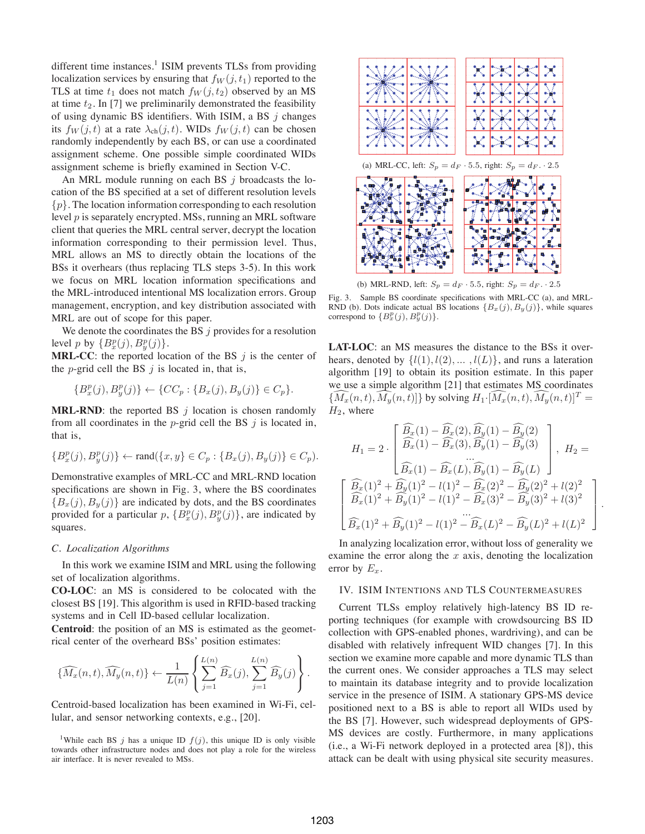different time instances.<sup>1</sup> ISIM prevents TLSs from providing localization services by ensuring that  $f_W(j, t_1)$  reported to the TLS at time  $t_1$  does not match  $f_W(j, t_2)$  observed by an MS at time  $t_2$ . In [7] we preliminarily demonstrated the feasibility of using dynamic BS identifiers. With ISIM, a BS  $j$  changes its  $f_W(j, t)$  at a rate  $\lambda_{ch}(j, t)$ . WIDs  $f_W(j, t)$  can be chosen randomly independently by each BS, or can use a coordinated assignment scheme. One possible simple coordinated WIDs assignment scheme is briefly examined in Section V-C.

An MRL module running on each BS  $j$  broadcasts the location of the BS specified at a set of different resolution levels  $\{p\}$ . The location information corresponding to each resolution level  $p$  is separately encrypted. MSs, running an MRL software client that queries the MRL central server, decrypt the location information corresponding to their permission level. Thus, MRL allows an MS to directly obtain the locations of the BSs it overhears (thus replacing TLS steps 3-5). In this work we focus on MRL location information specifications and the MRL-introduced intentional MS localization errors. Group management, encryption, and key distribution associated with MRL are out of scope for this paper.

We denote the coordinates the BS  $j$  provides for a resolution level p by  $\{B_x^p(j), B_y^p(j)\}.$ 

**MRL-CC**: the reported location of the BS  $j$  is the center of the *p*-grid cell the BS  $j$  is located in, that is,

$$
\{B_x^p(j), B_y^p(j)\} \leftarrow \{CC_p : \{B_x(j), B_y(j)\} \in C_p\}.
$$

**MRL-RND**: the reported BS  $j$  location is chosen randomly from all coordinates in the  $p$ -grid cell the BS  $j$  is located in, that is,

$$
\{B_x^p(j), B_y^p(j)\} \leftarrow \text{rand}(\{x, y\} \in C_p : \{B_x(j), B_y(j)\} \in C_p).
$$

Demonstrative examples of MRL-CC and MRL-RND location specifications are shown in Fig. 3, where the BS coordinates  ${B_x(j), B_y(j)}$  are indicated by dots, and the BS coordinates provided for a particular  $p$ ,  $\{B_x^p(j), B_y^p(j)\}$ , are indicated by squares.

## *C. Localization Algorithms*

In this work we examine ISIM and MRL using the following set of localization algorithms.

**CO-LOC**: an MS is considered to be colocated with the closest BS [19]. This algorithm is used in RFID-based tracking systems and in Cell ID-based cellular localization.

**Centroid**: the position of an MS is estimated as the geometrical center of the overheard BSs' position estimates:

$$
\{\widehat{M_x}(n,t),\widehat{M_y}(n,t)\}\leftarrow \frac{1}{L(n)}\left\{\sum_{j=1}^{L(n)}\widehat{B_x}(j),\sum_{j=1}^{L(n)}\widehat{B_y}(j)\right\}.
$$

Centroid-based localization has been examined in Wi-Fi, cellular, and sensor networking contexts, e.g., [20].



(b) MRL-RND, left:  $S_p = d_F \cdot 5.5$ , right:  $S_p = d_F \cdot 2.5$ 

Fig. 3. Sample BS coordinate specifications with MRL-CC (a), and MRL-RND (b). Dots indicate actual BS locations  $\{B_x(j), B_y(j)\}\$ , while squares correspond to  ${B_x^p(j), B_y^p(j)}$ .

**LAT-LOC**: an MS measures the distance to the BSs it overhears, denoted by  $\{l(1), l(2), \ldots, l(L)\}\$ , and runs a lateration algorithm [19] to obtain its position estimate. In this paper we use a simple algorithm [21] that estimates MS coordinates  $\{\widehat{M_x}(n,t),\widehat{M_y}(n,t)]\}$  by solving  $H_1\cdot[\widehat{M_x}(n,t),\widehat{M_y}(n,t)]^T =$  $H_2$ , where

$$
H_1 = 2 \cdot \begin{bmatrix} \widehat{B}_x(1) - \widehat{B}_x(2), \widehat{B}_y(1) - \widehat{B}_y(2) \\ \widehat{B}_x(1) - \widehat{B}_x(3), \widehat{B}_y(1) - \widehat{B}_y(3) \\ \vdots \\ \widehat{B}_x(1) - \widehat{B}_x(L), \widehat{B}_y(1) - \widehat{B}_y(L) \end{bmatrix}, H_2 = \frac{\widehat{B}_x(1)^2 + \widehat{B}_y(1)^2 - l(1)^2 - \widehat{B}_x(2)^2 - \widehat{B}_y(2)^2 + l(2)^2}{\widehat{B}_x(1)^2 + \widehat{B}_y(1)^2 - l(1)^2 - \widehat{B}_x(3)^2 - \widehat{B}_y(3)^2 + l(3)^2}
$$
\n
$$
\widehat{B}_x(1)^2 + \widehat{B}_y(1)^2 - l(1)^2 - \widehat{B}_x(L)^2 - \widehat{B}_y(L)^2 + l(L)^2
$$

In analyzing localization error, without loss of generality we examine the error along the  $x$  axis, denoting the localization error by  $E_x$ .

# IV. ISIM INTENTIONS AND TLS COUNTERMEASURES

Current TLSs employ relatively high-latency BS ID reporting techniques (for example with crowdsourcing BS ID collection with GPS-enabled phones, wardriving), and can be disabled with relatively infrequent WID changes [7]. In this section we examine more capable and more dynamic TLS than the current ones. We consider approaches a TLS may select to maintain its database integrity and to provide localization service in the presence of ISIM. A stationary GPS-MS device positioned next to a BS is able to report all WIDs used by the BS [7]. However, such widespread deployments of GPS-MS devices are costly. Furthermore, in many applications (i.e., a Wi-Fi network deployed in a protected area [8]), this attack can be dealt with using physical site security measures.

<sup>&</sup>lt;sup>1</sup>While each BS j has a unique ID  $f(j)$ , this unique ID is only visible towards other infrastructure nodes and does not play a role for the wireless air interface. It is never revealed to MSs.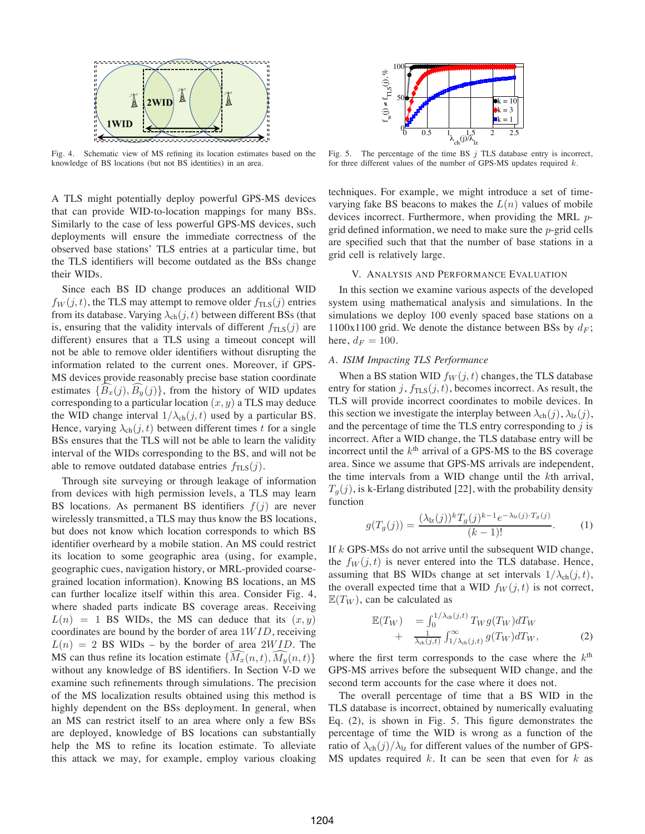

Fig. 4. Schematic view of MS refining its location estimates based on the knowledge of BS locations (but not BS identities) in an area.

A TLS might potentially deploy powerful GPS-MS devices that can provide WID-to-location mappings for many BSs. Similarly to the case of less powerful GPS-MS devices, such deployments will ensure the immediate correctness of the observed base stations' TLS entries at a particular time, but the TLS identifiers will become outdated as the BSs change their WIDs.

Since each BS ID change produces an additional WID  $f_W(j, t)$ , the TLS may attempt to remove older  $f_{\text{TLS}}(j)$  entries from its database. Varying  $\lambda_{ch}(j, t)$  between different BSs (that is, ensuring that the validity intervals of different  $f_{\text{TLS}}(j)$  are different) ensures that a TLS using a timeout concept will not be able to remove older identifiers without disrupting the information related to the current ones. Moreover, if GPS-MS devices provide reasonably precise base station coordinate estimates  $\{B_x(j), B_y(j)\}\$ , from the history of WID updates corresponding to a particular location  $(x, y)$  a TLS may deduce the WID change interval  $1/\lambda_{ch}(j, t)$  used by a particular BS. Hence, varying  $\lambda_{ch}(j, t)$  between different times t for a single BSs ensures that the TLS will not be able to learn the validity interval of the WIDs corresponding to the BS, and will not be able to remove outdated database entries  $f_{\text{TLS}}(j)$ .

Through site surveying or through leakage of information from devices with high permission levels, a TLS may learn BS locations. As permanent BS identifiers  $f(j)$  are never wirelessly transmitted, a TLS may thus know the BS locations, but does not know which location corresponds to which BS identifier overheard by a mobile station. An MS could restrict its location to some geographic area (using, for example, geographic cues, navigation history, or MRL-provided coarsegrained location information). Knowing BS locations, an MS can further localize itself within this area. Consider Fig. 4, where shaded parts indicate BS coverage areas. Receiving  $L(n) = 1$  BS WIDs, the MS can deduce that its  $(x, y)$ coordinates are bound by the border of area  $1WID$ , receiving  $L(n)=2$  BS WIDs – by the border of area 2WID. The MS can thus refine its location estimate  $\{M_x(n,t), M_y(n,t)\}$ without any knowledge of BS identifiers. In Section V-D we examine such refinements through simulations. The precision of the MS localization results obtained using this method is highly dependent on the BSs deployment. In general, when an MS can restrict itself to an area where only a few BSs are deployed, knowledge of BS locations can substantially help the MS to refine its location estimate. To alleviate this attack we may, for example, employ various cloaking



Fig. 5. The percentage of the time BS  $j$  TLS database entry is incorrect, for three different values of the number of GPS-MS updates required  $k$ .

techniques. For example, we might introduce a set of timevarying fake BS beacons to makes the  $L(n)$  values of mobile devices incorrect. Furthermore, when providing the MRL pgrid defined information, we need to make sure the  $p$ -grid cells are specified such that that the number of base stations in a grid cell is relatively large.

### V. ANALYSIS AND PERFORMANCE EVALUATION

In this section we examine various aspects of the developed system using mathematical analysis and simulations. In the simulations we deploy 100 evenly spaced base stations on a 1100x1100 grid. We denote the distance between BSs by  $d_F$ ; here,  $d_F = 100$ .

## *A. ISIM Impacting TLS Performance*

When a BS station WID  $f_W(j, t)$  changes, the TLS database entry for station j,  $f_{TLS}(j, t)$ , becomes incorrect. As result, the TLS will provide incorrect coordinates to mobile devices. In this section we investigate the interplay between  $\lambda_{ch}(j)$ ,  $\lambda_{lz}(j)$ , and the percentage of time the TLS entry corresponding to  $j$  is incorrect. After a WID change, the TLS database entry will be incorrect until the  $k<sup>th</sup>$  arrival of a GPS-MS to the BS coverage area. Since we assume that GPS-MS arrivals are independent, the time intervals from a WID change until the kth arrival,  $T_q(j)$ , is k-Erlang distributed [22], with the probability density function

$$
g(T_g(j)) = \frac{(\lambda_{\rm ls}(j))^k T_g(j)^{k-1} e^{-\lambda_{\rm ls}(j) \cdot T_g(j)}}{(k-1)!}.
$$
 (1)

If  $k$  GPS-MSs do not arrive until the subsequent WID change, the  $f_W(j, t)$  is never entered into the TLS database. Hence, assuming that BS WIDs change at set intervals  $1/\lambda_{ch}(j, t)$ , the overall expected time that a WID  $f_W(j, t)$  is not correct,  $\mathbb{E}(T_W)$ , can be calculated as

$$
\mathbb{E}(T_W) = \int_0^{1/\lambda_{ch}(j,t)} T_W g(T_W) dT_W \n+ \frac{1}{\lambda_{ch}(j,t)} \int_{1/\lambda_{ch}(j,t)}^{\infty} g(T_W) dT_W,
$$
\n(2)

where the first term corresponds to the case where the  $k<sup>th</sup>$ GPS-MS arrives before the subsequent WID change, and the second term accounts for the case where it does not.

The overall percentage of time that a BS WID in the TLS database is incorrect, obtained by numerically evaluating Eq. (2), is shown in Fig. 5. This figure demonstrates the percentage of time the WID is wrong as a function of the ratio of  $\lambda_{ch}(j)/\lambda_{1z}$  for different values of the number of GPS-MS updates required  $k$ . It can be seen that even for  $k$  as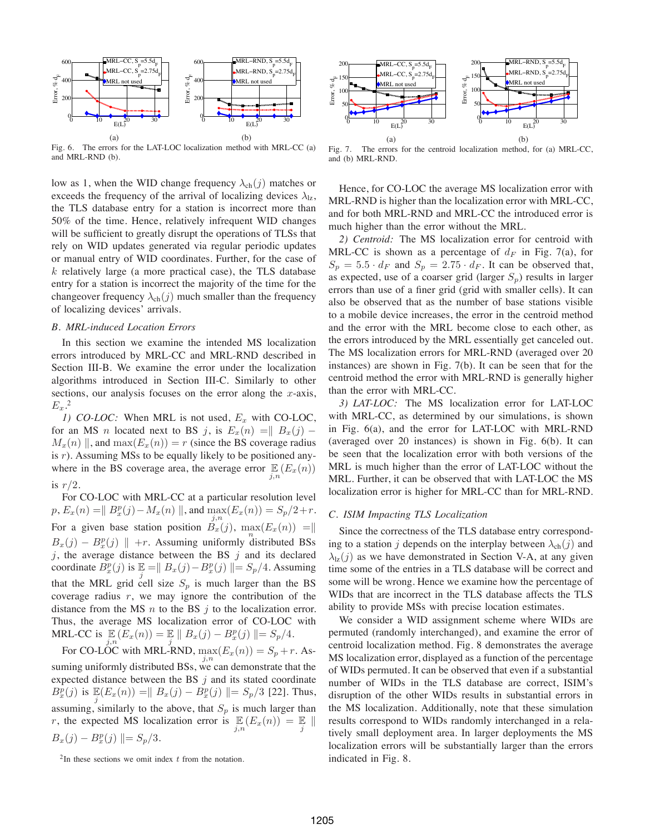

Fig. 6. The errors for the LAT-LOC localization method with MRL-CC (a) and MRL-RND (b).

low as 1, when the WID change frequency  $\lambda_{ch}(j)$  matches or exceeds the frequency of the arrival of localizing devices  $\lambda_{1z}$ , the TLS database entry for a station is incorrect more than 50% of the time. Hence, relatively infrequent WID changes will be sufficient to greatly disrupt the operations of TLSs that rely on WID updates generated via regular periodic updates or manual entry of WID coordinates. Further, for the case of  $k$  relatively large (a more practical case), the TLS database entry for a station is incorrect the majority of the time for the changeover frequency  $\lambda_{ch}(j)$  much smaller than the frequency of localizing devices' arrivals.

## *B. MRL-induced Location Errors*

In this section we examine the intended MS localization errors introduced by MRL-CC and MRL-RND described in Section III-B. We examine the error under the localization algorithms introduced in Section III-C. Similarly to other sections, our analysis focuses on the error along the  $x$ -axis,  $E_x$ <sup>2</sup>

*1) CO-LOC:* When MRL is not used,  $E_x$  with CO-LOC, for an MS n located next to BS j, is  $E_x(n) = ||B_x(j) M_x(n)$ , and  $\max(E_x(n)) = r$  (since the BS coverage radius is  $r$ ). Assuming MSs to be equally likely to be positioned anywhere in the BS coverage area, the average error  $\mathbb{E}_{i}(E_x(n))$ is  $r/2$ .

For CO-LOC with MRL-CC at a particular resolution level  $p, E_x(n) = || B_x^p(j) - M_x(n) ||$ , and  $\max_{j,n}(E_x(n)) = S_p/2+r$ . For a given base station position  $B_x(j)$ ,  $\max(E_x(n)) = ||$  $B_x(j) - B_x^p(j)$  || +r. Assuming uniformly distributed BSs  $j$ , the average distance between the BS  $j$  and its declared coordinate  $\overline{B_x^p(j)}$  is  $\overline{\mathbb{E}} = || B_x(j) - B_x^p(j) || = S_p/4$ . Assuming that the MRL grid cell size  $S_p$  is much larger than the BS coverage radius  $r$ , we may ignore the contribution of the distance from the MS  $n$  to the BS  $j$  to the localization error. Thus, the average MS localization error of CO-LOC with MRL-CC is  $\mathbb{E}_{j,n}(\overline{E}_x(n)) = \mathbb{E}_{j} || B_x(j) - B_x^p(j) || = S_p/4.$ 

For CO-LOC with MRL-RND,  $\max_{j,n}(E_x(n)) = S_p + r$ . Assuming uniformly distributed BSs, we can demonstrate that the expected distance between the BS  $j$  and its stated coordinate  $B_x^{\tilde{p}}(j)$  is  $\mathbb{E}(E_x(n)) = ||B_x(j) - \tilde{B}_x^p(j)|| = S_p/3$  [22]. Thus, assuming, similarly to the above, that  $S_p$  is much larger than r, the expected MS localization error is  $\mathbb{E}_{j,n}(E_x(n)) = \mathbb{E}_{j}$  $B_x(j) - B_x^p(j) \parallel = S_p/3.$ 



Fig. 7. The errors for the centroid localization method, for (a) MRL-CC, and (b) MRL-RND.

Hence, for CO-LOC the average MS localization error with MRL-RND is higher than the localization error with MRL-CC, and for both MRL-RND and MRL-CC the introduced error is much higher than the error without the MRL.

*2) Centroid:* The MS localization error for centroid with MRL-CC is shown as a percentage of  $d_F$  in Fig. 7(a), for  $S_p = 5.5 \cdot d_F$  and  $S_p = 2.75 \cdot d_F$ . It can be observed that, as expected, use of a coarser grid (larger  $S_p$ ) results in larger errors than use of a finer grid (grid with smaller cells). It can also be observed that as the number of base stations visible to a mobile device increases, the error in the centroid method and the error with the MRL become close to each other, as the errors introduced by the MRL essentially get canceled out. The MS localization errors for MRL-RND (averaged over 20 instances) are shown in Fig. 7(b). It can be seen that for the centroid method the error with MRL-RND is generally higher than the error with MRL-CC.

*3) LAT-LOC:* The MS localization error for LAT-LOC with MRL-CC, as determined by our simulations, is shown in Fig. 6(a), and the error for LAT-LOC with MRL-RND (averaged over 20 instances) is shown in Fig. 6(b). It can be seen that the localization error with both versions of the MRL is much higher than the error of LAT-LOC without the MRL. Further, it can be observed that with LAT-LOC the MS localization error is higher for MRL-CC than for MRL-RND.

# *C. ISIM Impacting TLS Localization*

Since the correctness of the TLS database entry corresponding to a station j depends on the interplay between  $\lambda_{ch}(j)$  and  $\lambda_{1z}(j)$  as we have demonstrated in Section V-A, at any given time some of the entries in a TLS database will be correct and some will be wrong. Hence we examine how the percentage of WIDs that are incorrect in the TLS database affects the TLS ability to provide MSs with precise location estimates.

We consider a WID assignment scheme where WIDs are permuted (randomly interchanged), and examine the error of centroid localization method. Fig. 8 demonstrates the average MS localization error, displayed as a function of the percentage of WIDs permuted. It can be observed that even if a substantial number of WIDs in the TLS database are correct, ISIM's disruption of the other WIDs results in substantial errors in the MS localization. Additionally, note that these simulation results correspond to WIDs randomly interchanged in a relatively small deployment area. In larger deployments the MS localization errors will be substantially larger than the errors indicated in Fig. 8.

 $2$ In these sections we omit index t from the notation.